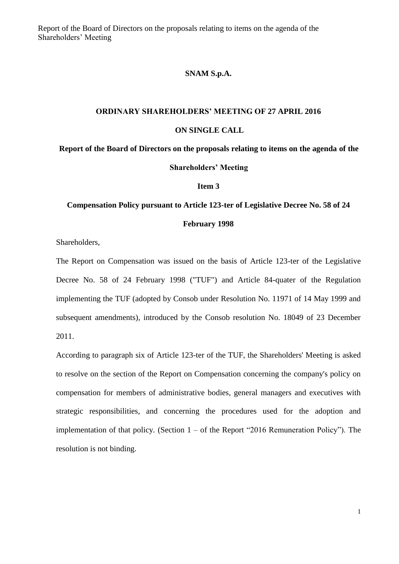Report of the Board of Directors on the proposals relating to items on the agenda of the Shareholders' Meeting

## **SNAM S.p.A.**

## **ORDINARY SHAREHOLDERS' MEETING OF 27 APRIL 2016**

## **ON SINGLE CALL**

**Report of the Board of Directors on the proposals relating to items on the agenda of the Shareholders' Meeting**

**Item 3**

## **Compensation Policy pursuant to Article 123-ter of Legislative Decree No. 58 of 24 February 1998**

Shareholders,

The Report on Compensation was issued on the basis of Article 123-ter of the Legislative Decree No. 58 of 24 February 1998 ("TUF") and Article 84-quater of the Regulation implementing the TUF (adopted by Consob under Resolution No. 11971 of 14 May 1999 and subsequent amendments), introduced by the Consob resolution No. 18049 of 23 December 2011.

According to paragraph six of Article 123-ter of the TUF, the Shareholders' Meeting is asked to resolve on the section of the Report on Compensation concerning the company's policy on compensation for members of administrative bodies, general managers and executives with strategic responsibilities, and concerning the procedures used for the adoption and implementation of that policy. (Section  $1 -$  of the Report "2016 Remuneration Policy"). The resolution is not binding.